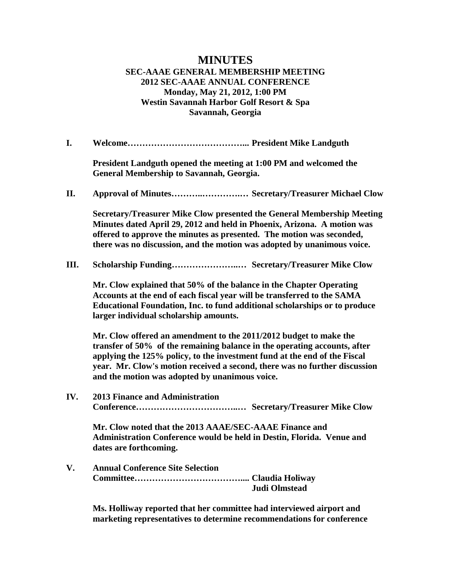## **MINUTES SEC-AAAE GENERAL MEMBERSHIP MEETING 2012 SEC-AAAE ANNUAL CONFERENCE Monday, May 21, 2012, 1:00 PM Westin Savannah Harbor Golf Resort & Spa Savannah, Georgia**

**I. Welcome…………………………………... President Mike Landguth**

**President Landguth opened the meeting at 1:00 PM and welcomed the General Membership to Savannah, Georgia.**

**II. Approval of Minutes………..………….… Secretary/Treasurer Michael Clow**

**Secretary/Treasurer Mike Clow presented the General Membership Meeting Minutes dated April 29, 2012 and held in Phoenix, Arizona. A motion was offered to approve the minutes as presented. The motion was seconded, there was no discussion, and the motion was adopted by unanimous voice.**

**III. Scholarship Funding…………………..… Secretary/Treasurer Mike Clow**

**Mr. Clow explained that 50% of the balance in the Chapter Operating Accounts at the end of each fiscal year will be transferred to the SAMA Educational Foundation, Inc. to fund additional scholarships or to produce larger individual scholarship amounts.**

**Mr. Clow offered an amendment to the 2011/2012 budget to make the transfer of 50% of the remaining balance in the operating accounts, after applying the 125% policy, to the investment fund at the end of the Fiscal year. Mr. Clow's motion received a second, there was no further discussion and the motion was adopted by unanimous voice.**

**IV. 2013 Finance and Administration Conference……………………………..… Secretary/Treasurer Mike Clow**

**Mr. Clow noted that the 2013 AAAE/SEC-AAAE Finance and Administration Conference would be held in Destin, Florida. Venue and dates are forthcoming.**

**V. Annual Conference Site Selection Committee……………………………….... Claudia Holiway Judi Olmstead**

> **Ms. Holliway reported that her committee had interviewed airport and marketing representatives to determine recommendations for conference**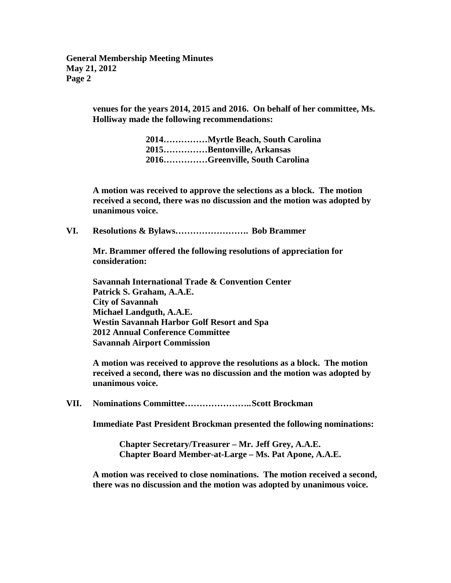**General Membership Meeting Minutes May 21, 2012 Page 2**

> **venues for the years 2014, 2015 and 2016. On behalf of her committee, Ms. Holliway made the following recommendations:**

> > **2014……………Myrtle Beach, South Carolina 2015……………Bentonville, Arkansas 2016……………Greenville, South Carolina**

**A motion was received to approve the selections as a block. The motion received a second, there was no discussion and the motion was adopted by unanimous voice.** 

**VI. Resolutions & Bylaws……………………. Bob Brammer**

**Mr. Brammer offered the following resolutions of appreciation for consideration:**

**Savannah International Trade & Convention Center Patrick S. Graham, A.A.E. City of Savannah Michael Landguth, A.A.E. Westin Savannah Harbor Golf Resort and Spa 2012 Annual Conference Committee Savannah Airport Commission**

**A motion was received to approve the resolutions as a block. The motion received a second, there was no discussion and the motion was adopted by unanimous voice.**

**VII. Nominations Committee…………………..Scott Brockman**

**Immediate Past President Brockman presented the following nominations:**

**Chapter Secretary/Treasurer – Mr. Jeff Grey, A.A.E. Chapter Board Member-at-Large – Ms. Pat Apone, A.A.E.**

**A motion was received to close nominations. The motion received a second, there was no discussion and the motion was adopted by unanimous voice.**